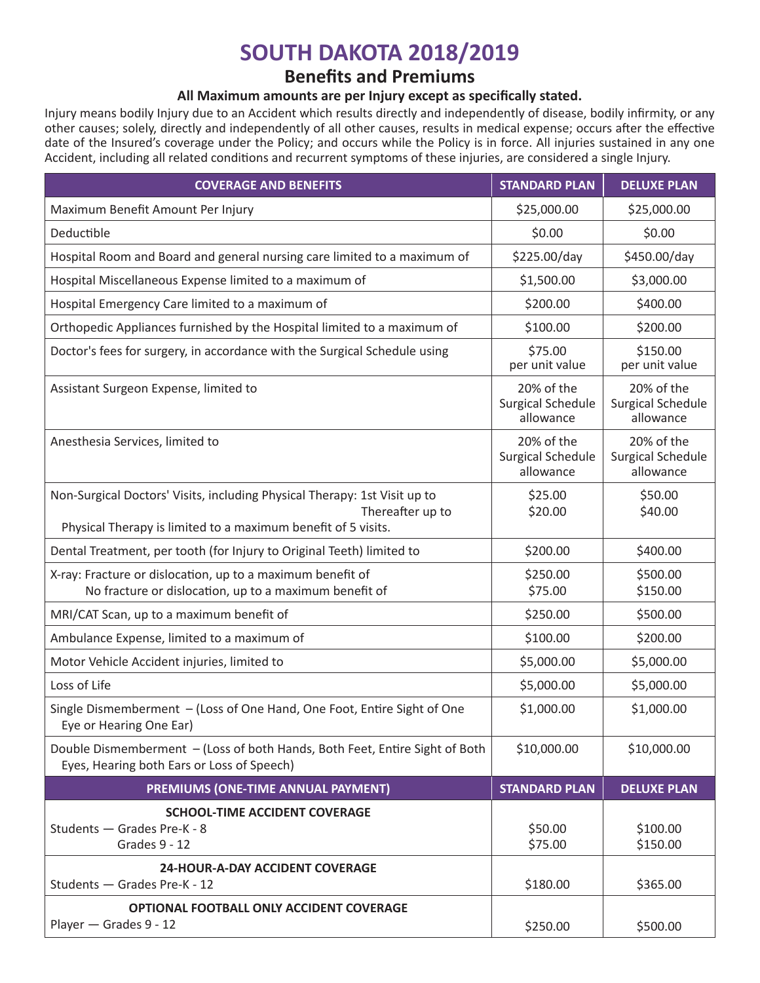# **SOUTH DAKOTA 2018/2019**

## **Benefits and Premiums**

## **All Maximum amounts are per Injury except as specifically stated.**

Injury means bodily Injury due to an Accident which results directly and independently of disease, bodily infirmity, or any other causes; solely, directly and independently of all other causes, results in medical expense; occurs after the effective date of the Insured's coverage under the Policy; and occurs while the Policy is in force. All injuries sustained in any one Accident, including all related conditions and recurrent symptoms of these injuries, are considered a single Injury.

| <b>COVERAGE AND BENEFITS</b>                                                                                                                                   | <b>STANDARD PLAN</b>                                | <b>DELUXE PLAN</b>                                  |
|----------------------------------------------------------------------------------------------------------------------------------------------------------------|-----------------------------------------------------|-----------------------------------------------------|
| Maximum Benefit Amount Per Injury                                                                                                                              | \$25,000.00                                         | \$25,000.00                                         |
| Deductible                                                                                                                                                     | \$0.00                                              | \$0.00                                              |
| Hospital Room and Board and general nursing care limited to a maximum of                                                                                       | \$225.00/day                                        | \$450.00/day                                        |
| Hospital Miscellaneous Expense limited to a maximum of                                                                                                         | \$1,500.00                                          | \$3,000.00                                          |
| Hospital Emergency Care limited to a maximum of                                                                                                                | \$200.00                                            | \$400.00                                            |
| Orthopedic Appliances furnished by the Hospital limited to a maximum of                                                                                        | \$100.00                                            | \$200.00                                            |
| Doctor's fees for surgery, in accordance with the Surgical Schedule using                                                                                      | \$75.00<br>per unit value                           | \$150.00<br>per unit value                          |
| Assistant Surgeon Expense, limited to                                                                                                                          | 20% of the<br><b>Surgical Schedule</b><br>allowance | 20% of the<br><b>Surgical Schedule</b><br>allowance |
| Anesthesia Services, limited to                                                                                                                                | 20% of the<br><b>Surgical Schedule</b><br>allowance | 20% of the<br><b>Surgical Schedule</b><br>allowance |
| Non-Surgical Doctors' Visits, including Physical Therapy: 1st Visit up to<br>Thereafter up to<br>Physical Therapy is limited to a maximum benefit of 5 visits. | \$25.00<br>\$20.00                                  | \$50.00<br>\$40.00                                  |
| Dental Treatment, per tooth (for Injury to Original Teeth) limited to                                                                                          | \$200.00                                            | \$400.00                                            |
| X-ray: Fracture or dislocation, up to a maximum benefit of<br>No fracture or dislocation, up to a maximum benefit of                                           | \$250.00<br>\$75.00                                 | \$500.00<br>\$150.00                                |
| MRI/CAT Scan, up to a maximum benefit of                                                                                                                       | \$250.00                                            | \$500.00                                            |
| Ambulance Expense, limited to a maximum of                                                                                                                     | \$100.00                                            | \$200.00                                            |
| Motor Vehicle Accident injuries, limited to                                                                                                                    | \$5,000.00                                          | \$5,000.00                                          |
| Loss of Life                                                                                                                                                   | \$5,000.00                                          | \$5,000.00                                          |
| Single Dismemberment - (Loss of One Hand, One Foot, Entire Sight of One<br>Eye or Hearing One Ear)                                                             | \$1,000.00                                          | \$1,000.00                                          |
| Double Dismemberment - (Loss of both Hands, Both Feet, Entire Sight of Both<br>Eyes, Hearing both Ears or Loss of Speech)                                      | \$10,000.00                                         | \$10,000.00                                         |
| PREMIUMS (ONE-TIME ANNUAL PAYMENT)                                                                                                                             | <b>STANDARD PLAN</b>                                | <b>DELUXE PLAN</b>                                  |
| <b>SCHOOL-TIME ACCIDENT COVERAGE</b><br>Students - Grades Pre-K - 8<br>Grades 9 - 12                                                                           | \$50.00<br>\$75.00                                  | \$100.00<br>\$150.00                                |
| <b>24-HOUR-A-DAY ACCIDENT COVERAGE</b><br>Students - Grades Pre-K - 12                                                                                         | \$180.00                                            | \$365.00                                            |
| OPTIONAL FOOTBALL ONLY ACCIDENT COVERAGE<br>Player - Grades 9 - 12                                                                                             | \$250.00                                            | \$500.00                                            |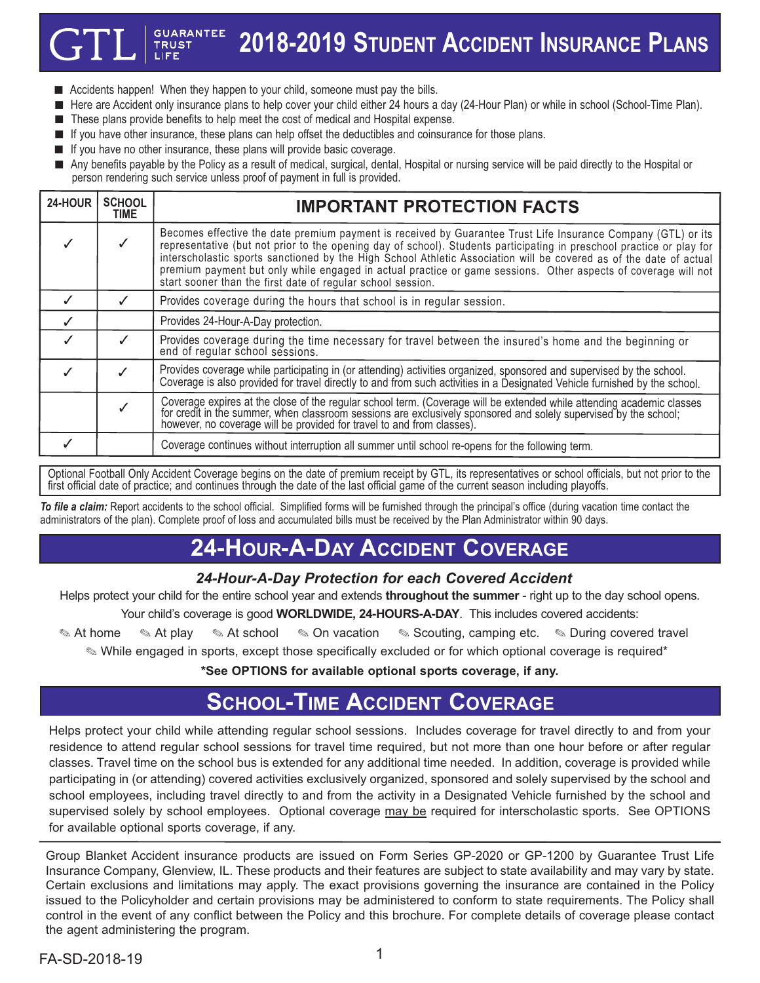#### **GUARANTEE 2018-2019 STUDENT ACCIDENT INSURANCE PLANS**

- $\blacksquare$  Accidents happen! When they happen to your child, someone must pay the bills.
- n Here are Accident only insurance plans to help cover your child either 24 hours a day (24-Hour Plan) or while in school (School-Time Plan).
- These plans provide benefits to help meet the cost of medical and Hospital expense.
- **n** If you have other insurance, these plans can help offset the deductibles and coinsurance for those plans.
- **n** If you have no other insurance, these plans will provide basic coverage.

**TRUST** 

n Any benefits payable by the Policy as a result of medical, surgical, dental, Hospital or nursing service will be paid directly to the Hospital or person rendering such service unless proof of payment in full is provided.

| 24-HOUR | <b>SCHOOL</b><br>TIME | <b>IMPORTANT PROTECTION FACTS</b>                                                                                                                                                                                                                                                                                                                                                                                                                                                                                                             |
|---------|-----------------------|-----------------------------------------------------------------------------------------------------------------------------------------------------------------------------------------------------------------------------------------------------------------------------------------------------------------------------------------------------------------------------------------------------------------------------------------------------------------------------------------------------------------------------------------------|
|         |                       | Becomes effective the date premium payment is received by Guarantee Trust Life Insurance Company (GTL) or its<br>representative (but not prior to the opening day of school). Students participating in preschool practice or play for<br>interscholastic sports sanctioned by the High School Athletic Association will be covered as of the date of actual<br>premium payment but only while engaged in actual practice or game sessions. Other aspects of coverage will not<br>start sooner than the first date of regular school session. |
|         |                       | Provides coverage during the hours that school is in regular session.                                                                                                                                                                                                                                                                                                                                                                                                                                                                         |
|         |                       | Provides 24-Hour-A-Day protection.                                                                                                                                                                                                                                                                                                                                                                                                                                                                                                            |
|         |                       | Provides coverage during the time necessary for travel between the insured's home and the beginning or<br>end of regular school sessions.                                                                                                                                                                                                                                                                                                                                                                                                     |
|         |                       | Provides coverage while participating in (or attending) activities organized, sponsored and supervised by the school.<br>Coverage is also provided for travel directly to and from such activities in a Designated Vehicle furnished by the school.                                                                                                                                                                                                                                                                                           |
|         |                       | Coverage expires at the close of the regular school term. (Coverage will be extended while attending academic classes for credit in the summer, when classroom sessions are exclusively sponsored and solely supervised by the<br>however, no coverage will be provided for travel to and from classes).                                                                                                                                                                                                                                      |
|         |                       | Coverage continues without interruption all summer until school re-opens for the following term.                                                                                                                                                                                                                                                                                                                                                                                                                                              |

Optional Football Only Accident Coverage begins on the date of premium receipt by GTL, its representatives or school officials, but not prior to the first official date of practice; and continues through the date of the last official game of the current season including playoffs.

*To file a claim:* Report accidents to the school official. Simplified forms will be furnished through the principal's office (during vacation time contact the administrators of the plan). Complete proof of loss and accumulated bills must be received by the Plan Administrator within 90 days.

# **24-HOUR-A-DAY ACCIDENT COVERAGE**

#### *24-Hour-A-Day Protection for each Covered Accident*

Helps protect your child for the entire school year and extends **throughout the summer** - right up to the day school opens.

Your child's coverage is good **WORLDWIDE, 24-HOURS-A-DAY**. This includes covered accidents:

**At home . At play . At school . On vacation . Scouting, camping etc. . During covered travel .** 

. While engaged in sports, except those specifically excluded or for which optional coverage is required\*

**\*See OPTIONS for available optional sports coverage, if any.**

## **SCHOOL-TIME ACCIDENT COVERAGE**

Helps protect your child while attending regular school sessions. Includes coverage for travel directly to and from your residence to attend regular school sessions for travel time required, but not more than one hour before or after regular classes. Travel time on the school bus is extended for any additional time needed. In addition, coverage is provided while participating in (or attending) covered activities exclusively organized, sponsored and solely supervised by the school and school employees, including travel directly to and from the activity in a Designated Vehicle furnished by the school and supervised solely by school employees. Optional coverage may be required for interscholastic sports. See OPTIONS for available optional sports coverage, if any.

Group Blanket Accident insurance products are issued on Form Series GP-2020 or GP-1200 by Guarantee Trust Life Insurance Company, Glenview, IL. These products and their features are subject to state availability and may vary by state. Certain exclusions and limitations may apply. The exact provisions governing the insurance are contained in the Policy issued to the Policyholder and certain provisions may be administered to conform to state requirements. The Policy shall control in the event of any conflict between the Policy and this brochure. For complete details of coverage please contact the agent administering the program.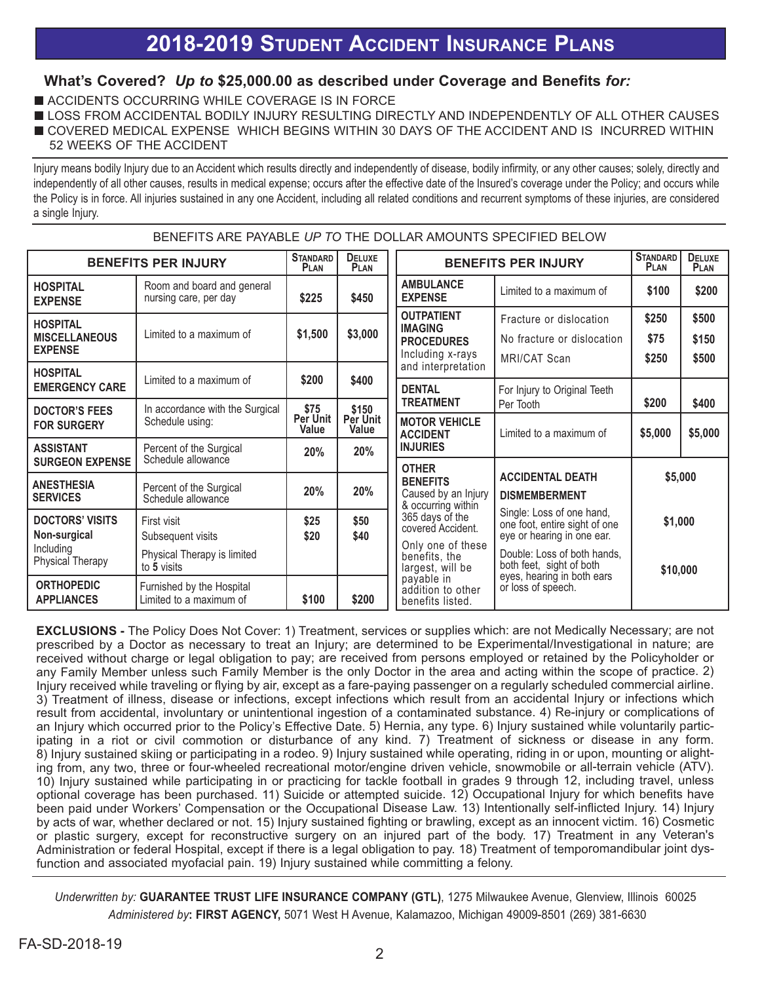# **2018-2019 STUDENT ACCIDENT INSURANCE PLANS**

### **What's Covered?** *Up to* **\$25,000.00 as described under Coverage and Benefits** *for:*

- **N ACCIDENTS OCCURRING WHILE COVERAGE IS IN FORCE**
- **ILOSS FROM ACCIDENTAL BODILY INJURY RESULTING DIRECTLY AND INDEPENDENTLY OF ALL OTHER CAUSES**
- **OUT COVERED MEDICAL EXPENSE WHICH BEGINS WITHIN 30 DAYS OF THE ACCIDENT AND IS INCURRED WITHIN** 52 WEEKS OF THE ACCIDENT

Injury means bodily Injury due to an Accident which results directly and independently of disease, bodily infirmity, or any other causes; solely, directly and independently of all other causes, results in medical expense; occurs after the effective date of the Insured's coverage under the Policy; and occurs while the Policy is in force. All injuries sustained in any one Accident, including all related conditions and recurrent symptoms of these injuries, are considered a single Injury.

BENEFITS ARE PAYABLE *UP TO* THE DOLLAR AMOUNTS SPECIFIED BELOW

| <b>BENEFITS PER INJURY</b>                                                     |                                                                                | <b>STANDARD</b><br><b>PLAN</b> | DELUXE<br><b>PLAN</b>      | <b>BENEFITS PER INJURY</b>                                                                     |                                                                                                                                                     | <b>STANDARD</b><br>PLAN | <b>DELUXE</b><br><b>PLAN</b> |
|--------------------------------------------------------------------------------|--------------------------------------------------------------------------------|--------------------------------|----------------------------|------------------------------------------------------------------------------------------------|-----------------------------------------------------------------------------------------------------------------------------------------------------|-------------------------|------------------------------|
| <b>HOSPITAL</b><br><b>EXPENSE</b>                                              | Room and board and general<br>nursing care, per day                            | \$225                          | \$450                      | <b>AMBULANCE</b><br><b>EXPENSE</b>                                                             | Limited to a maximum of                                                                                                                             | \$100                   | \$200                        |
| <b>HOSPITAL</b><br><b>MISCELLANEOUS</b><br><b>EXPENSE</b>                      | Limited to a maximum of                                                        | \$1,500                        | \$3,000                    | <b>OUTPATIENT</b><br><b>IMAGING</b><br><b>PROCEDURES</b><br>Including x-rays                   | Fracture or dislocation<br>No fracture or dislocation<br>MRI/CAT Scan                                                                               | \$250<br>\$75<br>\$250  | \$500<br>\$150<br>\$500      |
| <b>HOSPITAL</b><br><b>EMERGENCY CARE</b>                                       | Limited to a maximum of                                                        | \$200                          | \$400                      | and interpretation<br><b>DENTAL</b>                                                            | For Injury to Original Teeth                                                                                                                        |                         |                              |
| <b>DOCTOR'S FEES</b><br><b>FOR SURGERY</b>                                     | In accordance with the Surgical<br>Schedule using:                             | \$75<br>Per Unit<br>Value      | \$150<br>Per Unit<br>Value | <b>TREATMENT</b><br><b>MOTOR VEHICLE</b><br><b>ACCIDENT</b>                                    | Per Tooth<br>Limited to a maximum of                                                                                                                | \$200<br>\$5,000        | \$400<br>\$5,000             |
| <b>ASSISTANT</b><br><b>SURGEON EXPENSE</b>                                     | Percent of the Surgical<br>Schedule allowance                                  | 20%                            | 20%                        | <b>INJURIES</b>                                                                                |                                                                                                                                                     |                         |                              |
| <b>ANESTHESIA</b><br><b>SERVICES</b>                                           | Percent of the Surgical<br>Schedule allowance                                  | 20%                            | 20%                        | <b>OTHER</b><br><b>BENEFITS</b><br>Caused by an Injury<br>& occurring within                   | <b>ACCIDENTAL DEATH</b><br><b>DISMEMBERMENT</b>                                                                                                     | \$5,000                 |                              |
| <b>DOCTORS' VISITS</b><br>Non-surgical<br>Including<br><b>Physical Therapy</b> | First visit<br>Subsequent visits<br>Physical Therapy is limited<br>to 5 visits | \$25<br>\$20                   | \$50<br>\$40               | 365 days of the<br>covered Accident.<br>Only one of these<br>benefits, the<br>largest, will be | Single: Loss of one hand,<br>one foot, entire sight of one<br>eye or hearing in one ear.<br>Double: Loss of both hands,<br>both feet, sight of both | \$1,000<br>\$10,000     |                              |
| <b>ORTHOPEDIC</b><br><b>APPLIANCES</b>                                         | Furnished by the Hospital<br>Limited to a maximum of                           | \$100                          | \$200                      | payable in<br>addition to other<br>benefits listed.                                            | eyes, hearing in both ears<br>or loss of speech.                                                                                                    |                         |                              |

**EXCLUSIONS -** The Policy Does Not Cover: 1) Treatment, services or supplies which: are not Medically Necessary; are not prescribed by <sup>a</sup> Doctor as necessary to treat an Injury; are determined to be Experimental/Investigational in nature; are received without charge or legal obligation to pay; are received from persons employed or retained by the Policyholder or any Family Member unless such Family Member is the only Doctor in the area and acting within the scope of practice. 2) Injury received while traveling or flying by air, except as <sup>a</sup> fare-paying passenger on <sup>a</sup> regularly scheduled commercial airline. 3) Treatment of illness, disease or infections, except infections which result from an accidental Injury or infections which result from accidental, involuntary or unintentional ingestion of <sup>a</sup> contaminated substance. 4) Re-injury or complications of an Injury which occurred prior to the Policy's Effective Date. 5) Hernia, any type. 6) Injury sustained while voluntarily participating in <sup>a</sup> riot or civil commotion or disturbance of any kind. 7) Treatment of sickness or disease in any form. 8) Injury sustained skiing or participating in <sup>a</sup> rodeo. 9) Injury sustained while operating, riding in or upon, mounting or alighting from, any two, three or four-wheeled recreational motor/engine driven vehicle, snowmobile or all-terrain vehicle (ATV). 10) Injury sustained while participating in or practicing for tackle football in grades 9 through 12, including travel, unless optional coverage has been purchased. 11) Suicide or attempted suicide. 12) Occupational Injury for which benefits have been paid under Workers' Compensation or the Occupational Disease Law. 13) Intentionally self-inflicted Injury. 14) Injury by acts of war, whether declared or not. 15) Injury sustained fighting or brawling, except as an innocent victim. 16) Cosmetic or plastic surgery, except for reconstructive surgery on an injured part of the body. 17) Treatment in any Veteran's Administration or federal Hospital, except if there is <sup>a</sup> legal obligation to pay. 18) Treatment of temporomandibular joint dysfunction and associated myofacial pain. 19) Injury sustained while committing <sup>a</sup> felony.

*Underwritten by:* **GUARANTEE TRUST LIFE INSURANCE COMPANY (GTL)**, 1275 Milwaukee Avenue, Glenview, Illinois 60025 *Administered by***: FIRST AGENCY,** 5071 West H Avenue, Kalamazoo, Michigan 49009-8501 (269) 381-6630